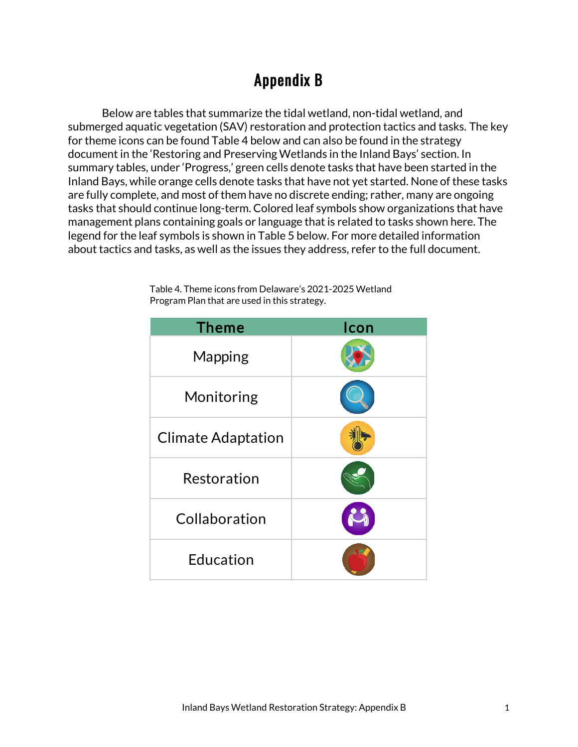## Appendix B

Below are tables that summarize the tidal wetland, non-tidal wetland, and submerged aquatic vegetation (SAV) restoration and protection tactics and tasks. The key for theme icons can be found Table 4 below and can also be found in the strategy document in the 'Restoring and Preserving Wetlands in the Inland Bays' section. In summary tables, under 'Progress,' green cells denote tasks that have been started in the Inland Bays, while orange cells denote tasks that have not yet started. None of these tasks are fully complete, and most of them have no discrete ending; rather, many are ongoing tasks that should continue long-term. Colored leaf symbols show organizations that have management plans containing goals or language that is related to tasks shown here. The legend for the leaf symbols is shown in Table 5 below. For more detailed information about tactics and tasks, as well as the issues they address, refer to the full document.

| <b>Theme</b>              | Icon |
|---------------------------|------|
| <b>Mapping</b>            |      |
| Monitoring                |      |
| <b>Climate Adaptation</b> |      |
| Restoration               |      |
| Collaboration             |      |
| Education                 |      |

Table 4. Theme icons from Delaware's 2021-2025 Wetland Program Plan that are used in this strategy.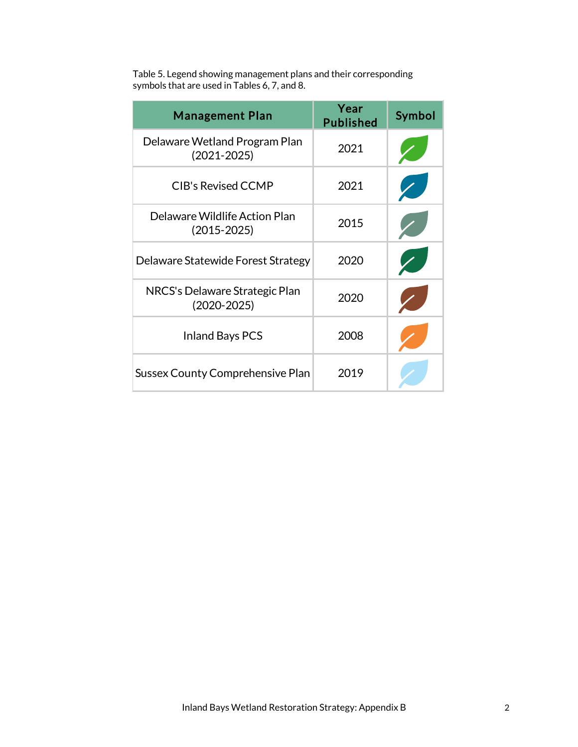| Table 5. Legend showing management plans and their corresponding |
|------------------------------------------------------------------|
| symbols that are used in Tables 6, 7, and 8.                     |

| <b>Management Plan</b>                            | Year<br><b>Published</b> | Symbol |
|---------------------------------------------------|--------------------------|--------|
| Delaware Wetland Program Plan<br>$(2021 - 2025)$  | 2021                     |        |
| <b>CIB's Revised CCMP</b>                         | 2021                     |        |
| Delaware Wildlife Action Plan<br>$(2015 - 2025)$  | 2015                     |        |
| Delaware Statewide Forest Strategy                | 2020                     |        |
| NRCS's Delaware Strategic Plan<br>$(2020 - 2025)$ | 2020                     |        |
| <b>Inland Bays PCS</b>                            | 2008                     |        |
| <b>Sussex County Comprehensive Plan</b>           | 2019                     |        |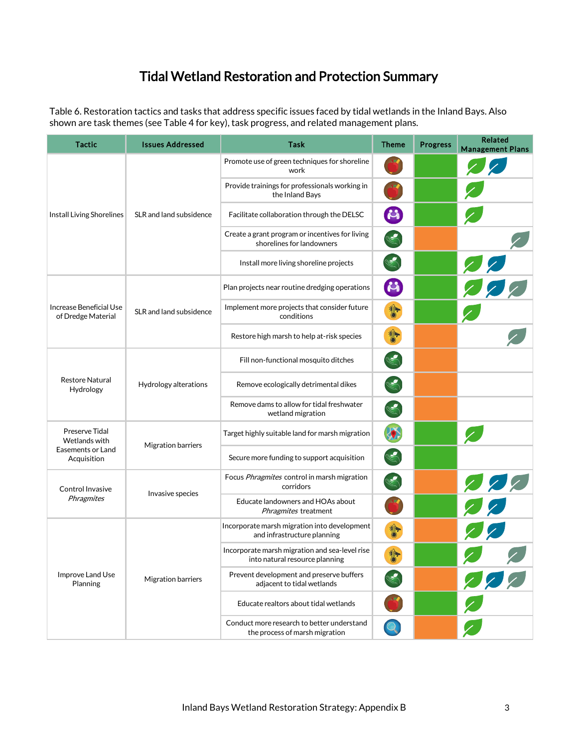## Tidal Wetland Restoration and Protection Summary

Table 6. Restoration tactics and tasks that address specific issues faced by tidal wetlands in the Inland Bays. Also shown are task themes (see Table 4 for key), task progress, and related management plans.

| <b>Tactic</b>                                                       | <b>Issues Addressed</b>   | <b>Task</b>                                                                      | <b>Theme</b>            | <b>Progress</b> | <b>Related</b><br><b>Management Plans</b> |
|---------------------------------------------------------------------|---------------------------|----------------------------------------------------------------------------------|-------------------------|-----------------|-------------------------------------------|
| Install Living Shorelines                                           | SLR and land subsidence   | Promote use of green techniques for shoreline<br>work                            |                         |                 | $\mathcal{L}$                             |
|                                                                     |                           | Provide trainings for professionals working in<br>the Inland Bays                |                         |                 |                                           |
|                                                                     |                           | Facilitate collaboration through the DELSC                                       | $\mathcal{L}_0$         |                 |                                           |
|                                                                     |                           | Create a grant program or incentives for living<br>shorelines for landowners     |                         |                 |                                           |
|                                                                     |                           | Install more living shoreline projects                                           |                         |                 |                                           |
|                                                                     | SLR and land subsidence   | Plan projects near routine dredging operations                                   | $\mathcal{L}_\emptyset$ |                 | 22                                        |
| Increase Beneficial Use<br>of Dredge Material                       |                           | Implement more projects that consider future<br>conditions                       | 梦                       |                 |                                           |
|                                                                     |                           | Restore high marsh to help at-risk species                                       | 将                       |                 |                                           |
| <b>Restore Natural</b><br>Hydrology                                 | Hydrology alterations     | Fill non-functional mosquito ditches                                             |                         |                 |                                           |
|                                                                     |                           | Remove ecologically detrimental dikes                                            |                         |                 |                                           |
|                                                                     |                           | Remove dams to allow for tidal freshwater<br>wetland migration                   |                         |                 |                                           |
| Preserve Tidal<br>Wetlands with<br>Easements or Land<br>Acquisition | Migration barriers        | Target highly suitable land for marsh migration                                  |                         |                 |                                           |
|                                                                     |                           | Secure more funding to support acquisition                                       |                         |                 |                                           |
| Control Invasive<br>Phragmites                                      | Invasive species          | Focus Phragmites control in marsh migration<br>corridors                         |                         |                 |                                           |
|                                                                     |                           | Educate landowners and HOAs about<br>Phragmites treatment                        |                         |                 | $\frac{2}{2}$                             |
| Improve Land Use<br>Planning                                        | <b>Migration barriers</b> | Incorporate marsh migration into development<br>and infrastructure planning      | 瓣                       |                 | Z                                         |
|                                                                     |                           | Incorporate marsh migration and sea-level rise<br>into natural resource planning | 非<br>$\circ$            |                 |                                           |
|                                                                     |                           | Prevent development and preserve buffers<br>adjacent to tidal wetlands           |                         |                 | $\frac{2}{7}$                             |
|                                                                     |                           | Educate realtors about tidal wetlands                                            |                         |                 |                                           |
|                                                                     |                           | Conduct more research to better understand<br>the process of marsh migration     |                         |                 |                                           |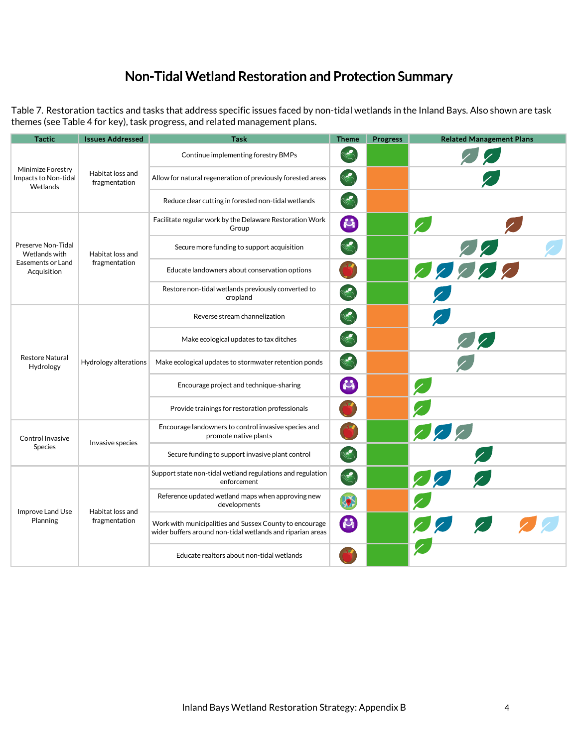## Non-Tidal Wetland Restoration and Protection Summary

Table 7. Restoration tactics and tasks that address specific issues faced by non-tidal wetlands in the Inland Bays. Also shown are task themes (see Table 4 for key), task progress, and related management plans.

| Tactic                                                                  | <b>Issues Addressed</b>           | <b>Task</b>                                                                                                           | <b>Theme</b>    | <b>Progress</b> | <b>Related Management Plans</b> |
|-------------------------------------------------------------------------|-----------------------------------|-----------------------------------------------------------------------------------------------------------------------|-----------------|-----------------|---------------------------------|
| Minimize Forestry<br>Impacts to Non-tidal<br>Wetlands                   | Habitat loss and<br>fragmentation | Continue implementing forestry BMPs                                                                                   |                 |                 | Z                               |
|                                                                         |                                   | Allow for natural regeneration of previously forested areas                                                           |                 |                 |                                 |
|                                                                         |                                   | Reduce clear cutting in forested non-tidal wetlands                                                                   |                 |                 |                                 |
| Preserve Non-Tidal<br>Wetlands with<br>Easements or Land<br>Acquisition | Habitat loss and<br>fragmentation | Facilitate regular work by the Delaware Restoration Work<br>Group                                                     | $\mathbf{C}_1$  |                 |                                 |
|                                                                         |                                   | Secure more funding to support acquisition                                                                            |                 |                 |                                 |
|                                                                         |                                   | Educate landowners about conservation options                                                                         |                 |                 | 22222                           |
|                                                                         |                                   | Restore non-tidal wetlands previously converted to<br>cropland                                                        |                 |                 |                                 |
| <b>Restore Natural</b><br>Hydrology                                     | Hydrology alterations             | Reverse stream channelization                                                                                         |                 |                 |                                 |
|                                                                         |                                   | Make ecological updates to tax ditches                                                                                |                 |                 | Z                               |
|                                                                         |                                   | Make ecological updates to stormwater retention ponds                                                                 |                 |                 |                                 |
|                                                                         |                                   | Encourage project and technique-sharing                                                                               | $\mathcal{L}_1$ |                 |                                 |
|                                                                         |                                   | Provide trainings for restoration professionals                                                                       |                 |                 |                                 |
| Control Invasive<br>Species                                             | Invasive species                  | Encourage landowners to control invasive species and<br>promote native plants                                         |                 |                 | 222                             |
|                                                                         |                                   | Secure funding to support invasive plant control                                                                      | S               |                 |                                 |
| Improve Land Use<br>Planning                                            | Habitat loss and<br>fragmentation | Support state non-tidal wetland regulations and regulation<br>enforcement                                             |                 |                 | 22                              |
|                                                                         |                                   | Reference updated wetland maps when approving new<br>developments                                                     | 35              |                 |                                 |
|                                                                         |                                   | Work with municipalities and Sussex County to encourage<br>wider buffers around non-tidal wetlands and riparian areas | $\mathbf{r}$    |                 | 222                             |
|                                                                         |                                   | Educate realtors about non-tidal wetlands                                                                             |                 |                 |                                 |